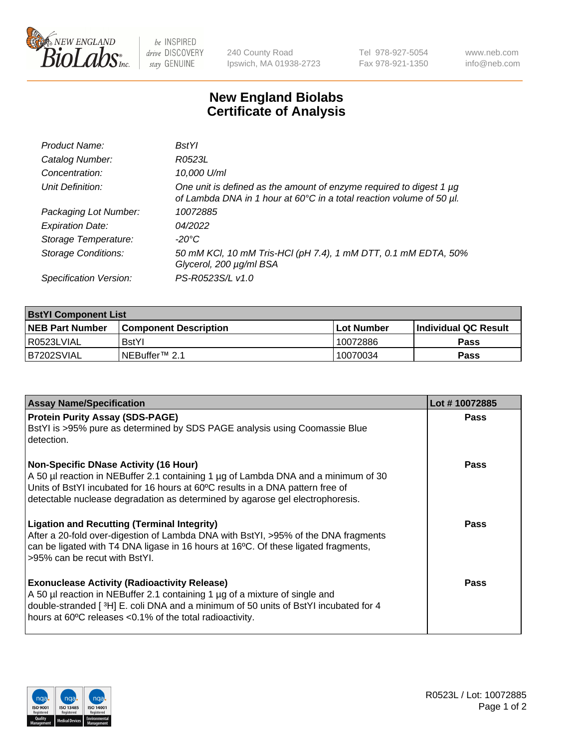

be INSPIRED drive DISCOVERY stay GENUINE

240 County Road Ipswich, MA 01938-2723 Tel 978-927-5054 Fax 978-921-1350

www.neb.com info@neb.com

## **New England Biolabs Certificate of Analysis**

| Product Name:              | <b>BstYl</b>                                                                                                                                |
|----------------------------|---------------------------------------------------------------------------------------------------------------------------------------------|
| Catalog Number:            | R0523L                                                                                                                                      |
| Concentration:             | 10,000 U/ml                                                                                                                                 |
| Unit Definition:           | One unit is defined as the amount of enzyme required to digest 1 µg<br>of Lambda DNA in 1 hour at 60°C in a total reaction volume of 50 µl. |
| Packaging Lot Number:      | 10072885                                                                                                                                    |
| <b>Expiration Date:</b>    | 04/2022                                                                                                                                     |
| Storage Temperature:       | $-20^{\circ}$ C                                                                                                                             |
| <b>Storage Conditions:</b> | 50 mM KCl, 10 mM Tris-HCl (pH 7.4), 1 mM DTT, 0.1 mM EDTA, 50%<br>Glycerol, 200 µg/ml BSA                                                   |
| Specification Version:     | PS-R0523S/L v1.0                                                                                                                            |

| <b>BstYl Component List</b> |                            |              |                             |  |  |
|-----------------------------|----------------------------|--------------|-----------------------------|--|--|
| <b>NEB Part Number</b>      | l Component Description    | l Lot Number | <b>Individual QC Result</b> |  |  |
| I R0523LVIAL                | <b>BstYI</b>               | 10072886     | Pass                        |  |  |
| B7202SVIAL                  | INEBuffer <sup>™</sup> 2.1 | 10070034     | Pass                        |  |  |

| <b>Assay Name/Specification</b>                                                                                                                                                                                                                                                                       | Lot #10072885 |
|-------------------------------------------------------------------------------------------------------------------------------------------------------------------------------------------------------------------------------------------------------------------------------------------------------|---------------|
| <b>Protein Purity Assay (SDS-PAGE)</b><br>BstYI is >95% pure as determined by SDS PAGE analysis using Coomassie Blue<br>detection.                                                                                                                                                                    | Pass          |
| <b>Non-Specific DNase Activity (16 Hour)</b><br>A 50 µl reaction in NEBuffer 2.1 containing 1 µg of Lambda DNA and a minimum of 30<br>Units of BstYI incubated for 16 hours at 60°C results in a DNA pattern free of<br>detectable nuclease degradation as determined by agarose gel electrophoresis. | Pass          |
| <b>Ligation and Recutting (Terminal Integrity)</b><br>After a 20-fold over-digestion of Lambda DNA with BstYI, >95% of the DNA fragments<br>can be ligated with T4 DNA ligase in 16 hours at 16°C. Of these ligated fragments,<br>>95% can be recut with BstYl.                                       | Pass          |
| <b>Exonuclease Activity (Radioactivity Release)</b><br>A 50 µl reaction in NEBuffer 2.1 containing 1 µg of a mixture of single and<br>double-stranded [3H] E. coli DNA and a minimum of 50 units of BstYl incubated for 4<br>hours at 60°C releases <0.1% of the total radioactivity.                 | Pass          |